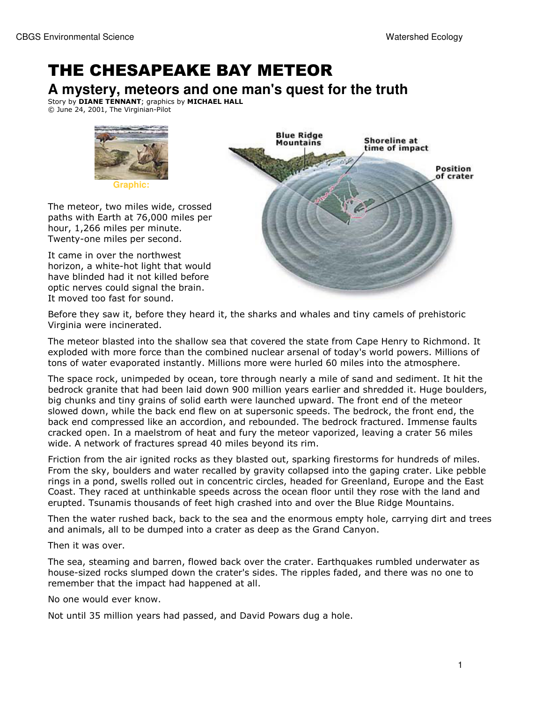## THE CHESAPEAKE BAY METEOR

**A mystery, meteors and one man's quest for the truth**

Story by **DIANE TENNANT**; graphics by **MICHAEL HALL** © June 24, 2001, The Virginian-Pilot



The meteor, two miles wide, crossed paths with Earth at 76,000 miles per hour, 1,266 miles per minute. Twenty-one miles per second.

It came in over the northwest horizon, a white-hot light that would have blinded had it not killed before optic nerves could signal the brain. It moved too fast for sound.



Before they saw it, before they heard it, the sharks and whales and tiny camels of prehistoric Virginia were incinerated.

The meteor blasted into the shallow sea that covered the state from Cape Henry to Richmond. It exploded with more force than the combined nuclear arsenal of today's world powers. Millions of tons of water evaporated instantly. Millions more were hurled 60 miles into the atmosphere.

The space rock, unimpeded by ocean, tore through nearly a mile of sand and sediment. It hit the bedrock granite that had been laid down 900 million years earlier and shredded it. Huge boulders, big chunks and tiny grains of solid earth were launched upward. The front end of the meteor slowed down, while the back end flew on at supersonic speeds. The bedrock, the front end, the back end compressed like an accordion, and rebounded. The bedrock fractured. Immense faults cracked open. In a maelstrom of heat and fury the meteor vaporized, leaving a crater 56 miles wide. A network of fractures spread 40 miles beyond its rim.

Friction from the air ignited rocks as they blasted out, sparking firestorms for hundreds of miles. From the sky, boulders and water recalled by gravity collapsed into the gaping crater. Like pebble rings in a pond, swells rolled out in concentric circles, headed for Greenland, Europe and the East Coast. They raced at unthinkable speeds across the ocean floor until they rose with the land and erupted. Tsunamis thousands of feet high crashed into and over the Blue Ridge Mountains.

Then the water rushed back, back to the sea and the enormous empty hole, carrying dirt and trees and animals, all to be dumped into a crater as deep as the Grand Canyon.

Then it was over.

The sea, steaming and barren, flowed back over the crater. Earthquakes rumbled underwater as house-sized rocks slumped down the crater's sides. The ripples faded, and there was no one to remember that the impact had happened at all.

No one would ever know.

Not until 35 million years had passed, and David Powars dug a hole.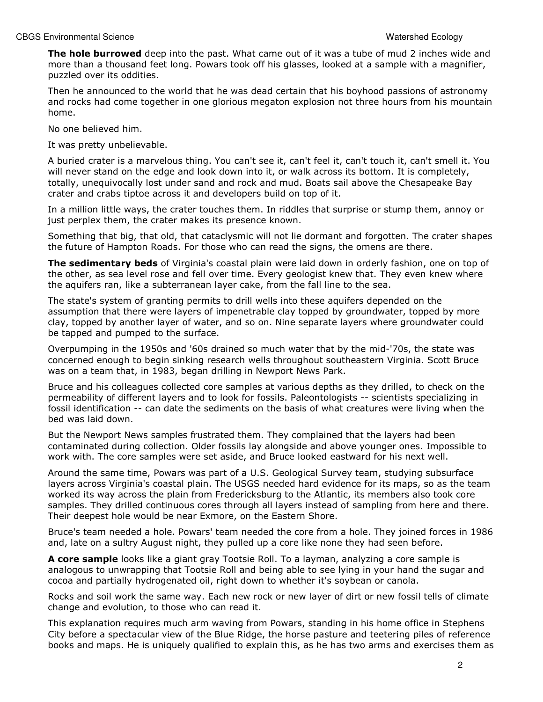The hole burrowed deep into the past. What came out of it was a tube of mud 2 inches wide and more than a thousand feet long. Powars took off his glasses, looked at a sample with a magnifier, puzzled over its oddities.

Then he announced to the world that he was dead certain that his boyhood passions of astronomy and rocks had come together in one glorious megaton explosion not three hours from his mountain home.

No one believed him.

It was pretty unbelievable.

A buried crater is a marvelous thing. You can't see it, can't feel it, can't touch it, can't smell it. You will never stand on the edge and look down into it, or walk across its bottom. It is completely, totally, unequivocally lost under sand and rock and mud. Boats sail above the Chesapeake Bay crater and crabs tiptoe across it and developers build on top of it.

In a million little ways, the crater touches them. In riddles that surprise or stump them, annoy or just perplex them, the crater makes its presence known.

Something that big, that old, that cataclysmic will not lie dormant and forgotten. The crater shapes the future of Hampton Roads. For those who can read the signs, the omens are there.

The sedimentary beds of Virginia's coastal plain were laid down in orderly fashion, one on top of the other, as sea level rose and fell over time. Every geologist knew that. They even knew where the aquifers ran, like a subterranean layer cake, from the fall line to the sea.

The state's system of granting permits to drill wells into these aquifers depended on the assumption that there were layers of impenetrable clay topped by groundwater, topped by more clay, topped by another layer of water, and so on. Nine separate layers where groundwater could be tapped and pumped to the surface.

Overpumping in the 1950s and '60s drained so much water that by the mid-'70s, the state was concerned enough to begin sinking research wells throughout southeastern Virginia. Scott Bruce was on a team that, in 1983, began drilling in Newport News Park.

Bruce and his colleagues collected core samples at various depths as they drilled, to check on the permeability of different layers and to look for fossils. Paleontologists -- scientists specializing in fossil identification -- can date the sediments on the basis of what creatures were living when the bed was laid down.

But the Newport News samples frustrated them. They complained that the layers had been contaminated during collection. Older fossils lay alongside and above younger ones. Impossible to work with. The core samples were set aside, and Bruce looked eastward for his next well.

Around the same time, Powars was part of a U.S. Geological Survey team, studying subsurface layers across Virginia's coastal plain. The USGS needed hard evidence for its maps, so as the team worked its way across the plain from Fredericksburg to the Atlantic, its members also took core samples. They drilled continuous cores through all layers instead of sampling from here and there. Their deepest hole would be near Exmore, on the Eastern Shore.

Bruce's team needed a hole. Powars' team needed the core from a hole. They joined forces in 1986 and, late on a sultry August night, they pulled up a core like none they had seen before.

A core sample looks like a giant gray Tootsie Roll. To a layman, analyzing a core sample is analogous to unwrapping that Tootsie Roll and being able to see lying in your hand the sugar and cocoa and partially hydrogenated oil, right down to whether it's soybean or canola.

Rocks and soil work the same way. Each new rock or new layer of dirt or new fossil tells of climate change and evolution, to those who can read it.

This explanation requires much arm waving from Powars, standing in his home office in Stephens City before a spectacular view of the Blue Ridge, the horse pasture and teetering piles of reference books and maps. He is uniquely qualified to explain this, as he has two arms and exercises them as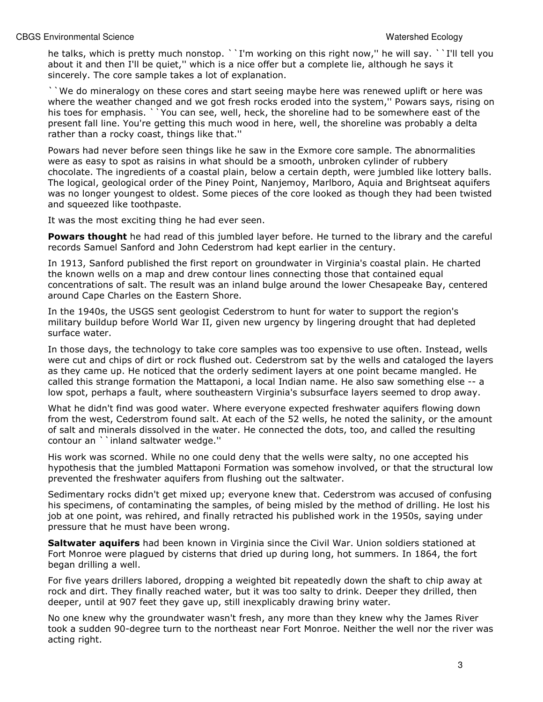he talks, which is pretty much nonstop. ``I'm working on this right now," he will say. ``I'll tell you about it and then I'll be quiet,'' which is a nice offer but a complete lie, although he says it sincerely. The core sample takes a lot of explanation.

``We do mineralogy on these cores and start seeing maybe here was renewed uplift or here was where the weather changed and we got fresh rocks eroded into the system,'' Powars says, rising on his toes for emphasis. ` You can see, well, heck, the shoreline had to be somewhere east of the present fall line. You're getting this much wood in here, well, the shoreline was probably a delta rather than a rocky coast, things like that.''

Powars had never before seen things like he saw in the Exmore core sample. The abnormalities were as easy to spot as raisins in what should be a smooth, unbroken cylinder of rubbery chocolate. The ingredients of a coastal plain, below a certain depth, were jumbled like lottery balls. The logical, geological order of the Piney Point, Nanjemoy, Marlboro, Aquia and Brightseat aquifers was no longer youngest to oldest. Some pieces of the core looked as though they had been twisted and squeezed like toothpaste.

It was the most exciting thing he had ever seen.

Powars thought he had read of this jumbled layer before. He turned to the library and the careful records Samuel Sanford and John Cederstrom had kept earlier in the century.

In 1913, Sanford published the first report on groundwater in Virginia's coastal plain. He charted the known wells on a map and drew contour lines connecting those that contained equal concentrations of salt. The result was an inland bulge around the lower Chesapeake Bay, centered around Cape Charles on the Eastern Shore.

In the 1940s, the USGS sent geologist Cederstrom to hunt for water to support the region's military buildup before World War II, given new urgency by lingering drought that had depleted surface water.

In those days, the technology to take core samples was too expensive to use often. Instead, wells were cut and chips of dirt or rock flushed out. Cederstrom sat by the wells and cataloged the layers as they came up. He noticed that the orderly sediment layers at one point became mangled. He called this strange formation the Mattaponi, a local Indian name. He also saw something else -- a low spot, perhaps a fault, where southeastern Virginia's subsurface layers seemed to drop away.

What he didn't find was good water. Where everyone expected freshwater aquifers flowing down from the west, Cederstrom found salt. At each of the 52 wells, he noted the salinity, or the amount of salt and minerals dissolved in the water. He connected the dots, too, and called the resulting contour an ``inland saltwater wedge.''

His work was scorned. While no one could deny that the wells were salty, no one accepted his hypothesis that the jumbled Mattaponi Formation was somehow involved, or that the structural low prevented the freshwater aquifers from flushing out the saltwater.

Sedimentary rocks didn't get mixed up; everyone knew that. Cederstrom was accused of confusing his specimens, of contaminating the samples, of being misled by the method of drilling. He lost his job at one point, was rehired, and finally retracted his published work in the 1950s, saying under pressure that he must have been wrong.

Saltwater aquifers had been known in Virginia since the Civil War. Union soldiers stationed at Fort Monroe were plagued by cisterns that dried up during long, hot summers. In 1864, the fort began drilling a well.

For five years drillers labored, dropping a weighted bit repeatedly down the shaft to chip away at rock and dirt. They finally reached water, but it was too salty to drink. Deeper they drilled, then deeper, until at 907 feet they gave up, still inexplicably drawing briny water.

No one knew why the groundwater wasn't fresh, any more than they knew why the James River took a sudden 90-degree turn to the northeast near Fort Monroe. Neither the well nor the river was acting right.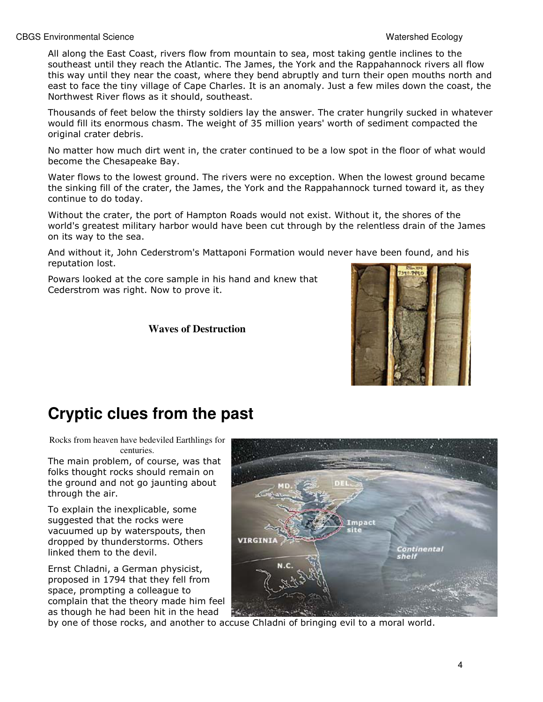All along the East Coast, rivers flow from mountain to sea, most taking gentle inclines to the southeast until they reach the Atlantic. The James, the York and the Rappahannock rivers all flow this way until they near the coast, where they bend abruptly and turn their open mouths north and east to face the tiny village of Cape Charles. It is an anomaly. Just a few miles down the coast, the Northwest River flows as it should, southeast.

Thousands of feet below the thirsty soldiers lay the answer. The crater hungrily sucked in whatever would fill its enormous chasm. The weight of 35 million years' worth of sediment compacted the original crater debris.

No matter how much dirt went in, the crater continued to be a low spot in the floor of what would become the Chesapeake Bay.

Water flows to the lowest ground. The rivers were no exception. When the lowest ground became the sinking fill of the crater, the James, the York and the Rappahannock turned toward it, as they continue to do today.

Without the crater, the port of Hampton Roads would not exist. Without it, the shores of the world's greatest military harbor would have been cut through by the relentless drain of the James on its way to the sea.

And without it, John Cederstrom's Mattaponi Formation would never have been found, and his reputation lost.

Powars looked at the core sample in his hand and knew that Cederstrom was right. Now to prove it.

**Waves of Destruction** 



## **Cryptic clues from the past**

Rocks from heaven have bedeviled Earthlings for centuries.

The main problem, of course, was that folks thought rocks should remain on the ground and not go jaunting about through the air.

To explain the inexplicable, some suggested that the rocks were vacuumed up by waterspouts, then dropped by thunderstorms. Others linked them to the devil.

Ernst Chladni, a German physicist, proposed in 1794 that they fell from space, prompting a colleague to complain that the theory made him feel as though he had been hit in the head



by one of those rocks, and another to accuse Chladni of bringing evil to a moral world.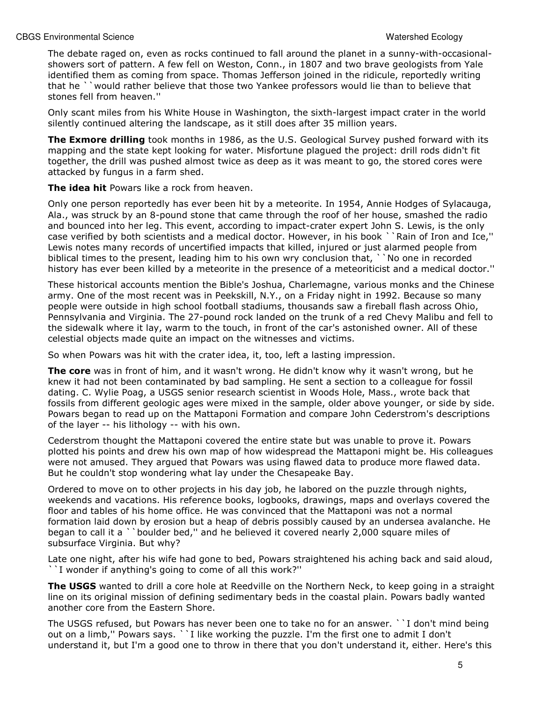The debate raged on, even as rocks continued to fall around the planet in a sunny-with-occasionalshowers sort of pattern. A few fell on Weston, Conn., in 1807 and two brave geologists from Yale identified them as coming from space. Thomas Jefferson joined in the ridicule, reportedly writing that he ``would rather believe that those two Yankee professors would lie than to believe that stones fell from heaven.''

Only scant miles from his White House in Washington, the sixth-largest impact crater in the world silently continued altering the landscape, as it still does after 35 million years.

**The Exmore drilling** took months in 1986, as the U.S. Geological Survey pushed forward with its mapping and the state kept looking for water. Misfortune plagued the project: drill rods didn't fit together, the drill was pushed almost twice as deep as it was meant to go, the stored cores were attacked by fungus in a farm shed.

The idea hit Powars like a rock from heaven.

Only one person reportedly has ever been hit by a meteorite. In 1954, Annie Hodges of Sylacauga, Ala., was struck by an 8-pound stone that came through the roof of her house, smashed the radio and bounced into her leg. This event, according to impact-crater expert John S. Lewis, is the only case verified by both scientists and a medical doctor. However, in his book ``Rain of Iron and Ice,'' Lewis notes many records of uncertified impacts that killed, injured or just alarmed people from biblical times to the present, leading him to his own wry conclusion that, ` No one in recorded history has ever been killed by a meteorite in the presence of a meteoriticist and a medical doctor."

These historical accounts mention the Bible's Joshua, Charlemagne, various monks and the Chinese army. One of the most recent was in Peekskill, N.Y., on a Friday night in 1992. Because so many people were outside in high school football stadiums, thousands saw a fireball flash across Ohio, Pennsylvania and Virginia. The 27-pound rock landed on the trunk of a red Chevy Malibu and fell to the sidewalk where it lay, warm to the touch, in front of the car's astonished owner. All of these celestial objects made quite an impact on the witnesses and victims.

So when Powars was hit with the crater idea, it, too, left a lasting impression.

The core was in front of him, and it wasn't wrong. He didn't know why it wasn't wrong, but he knew it had not been contaminated by bad sampling. He sent a section to a colleague for fossil dating. C. Wylie Poag, a USGS senior research scientist in Woods Hole, Mass., wrote back that fossils from different geologic ages were mixed in the sample, older above younger, or side by side. Powars began to read up on the Mattaponi Formation and compare John Cederstrom's descriptions of the layer -- his lithology -- with his own.

Cederstrom thought the Mattaponi covered the entire state but was unable to prove it. Powars plotted his points and drew his own map of how widespread the Mattaponi might be. His colleagues were not amused. They argued that Powars was using flawed data to produce more flawed data. But he couldn't stop wondering what lay under the Chesapeake Bay.

Ordered to move on to other projects in his day job, he labored on the puzzle through nights, weekends and vacations. His reference books, logbooks, drawings, maps and overlays covered the floor and tables of his home office. He was convinced that the Mattaponi was not a normal formation laid down by erosion but a heap of debris possibly caused by an undersea avalanche. He began to call it a ``boulder bed,'' and he believed it covered nearly 2,000 square miles of subsurface Virginia. But why?

Late one night, after his wife had gone to bed, Powars straightened his aching back and said aloud, ``I wonder if anything's going to come of all this work?''

The USGS wanted to drill a core hole at Reedville on the Northern Neck, to keep going in a straight line on its original mission of defining sedimentary beds in the coastal plain. Powars badly wanted another core from the Eastern Shore.

The USGS refused, but Powars has never been one to take no for an answer. ``I don't mind being out on a limb,'' Powars says. ``I like working the puzzle. I'm the first one to admit I don't understand it, but I'm a good one to throw in there that you don't understand it, either. Here's this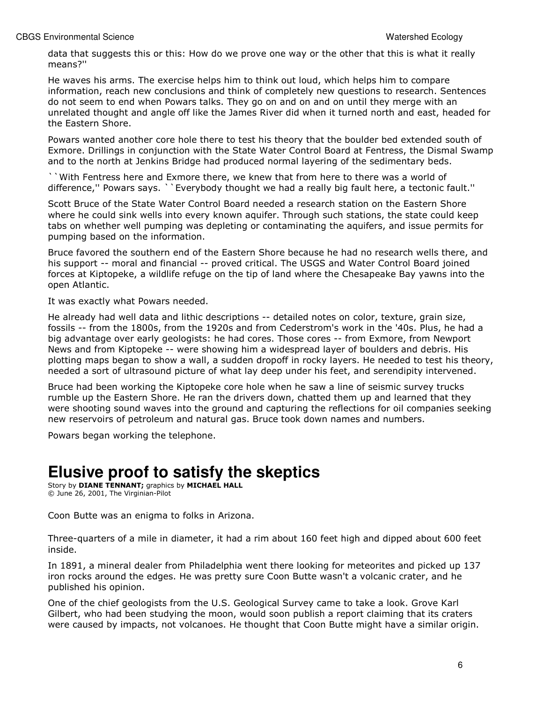data that suggests this or this: How do we prove one way or the other that this is what it really means?''

He waves his arms. The exercise helps him to think out loud, which helps him to compare information, reach new conclusions and think of completely new questions to research. Sentences do not seem to end when Powars talks. They go on and on and on until they merge with an unrelated thought and angle off like the James River did when it turned north and east, headed for the Eastern Shore.

Powars wanted another core hole there to test his theory that the boulder bed extended south of Exmore. Drillings in conjunction with the State Water Control Board at Fentress, the Dismal Swamp and to the north at Jenkins Bridge had produced normal layering of the sedimentary beds.

``With Fentress here and Exmore there, we knew that from here to there was a world of difference,'' Powars says. ``Everybody thought we had a really big fault here, a tectonic fault.''

Scott Bruce of the State Water Control Board needed a research station on the Eastern Shore where he could sink wells into every known aquifer. Through such stations, the state could keep tabs on whether well pumping was depleting or contaminating the aquifers, and issue permits for pumping based on the information.

Bruce favored the southern end of the Eastern Shore because he had no research wells there, and his support -- moral and financial -- proved critical. The USGS and Water Control Board joined forces at Kiptopeke, a wildlife refuge on the tip of land where the Chesapeake Bay yawns into the open Atlantic.

It was exactly what Powars needed.

He already had well data and lithic descriptions -- detailed notes on color, texture, grain size, fossils -- from the 1800s, from the 1920s and from Cederstrom's work in the '40s. Plus, he had a big advantage over early geologists: he had cores. Those cores -- from Exmore, from Newport News and from Kiptopeke -- were showing him a widespread layer of boulders and debris. His plotting maps began to show a wall, a sudden dropoff in rocky layers. He needed to test his theory, needed a sort of ultrasound picture of what lay deep under his feet, and serendipity intervened.

Bruce had been working the Kiptopeke core hole when he saw a line of seismic survey trucks rumble up the Eastern Shore. He ran the drivers down, chatted them up and learned that they were shooting sound waves into the ground and capturing the reflections for oil companies seeking new reservoirs of petroleum and natural gas. Bruce took down names and numbers.

Powars began working the telephone.

## **Elusive proof to satisfy the skeptics**

Story by **DIANE TENNANT**; graphics by **MICHAEL HALL** © June 26, 2001, The Virginian-Pilot

Coon Butte was an enigma to folks in Arizona.

Three-quarters of a mile in diameter, it had a rim about 160 feet high and dipped about 600 feet inside.

In 1891, a mineral dealer from Philadelphia went there looking for meteorites and picked up 137 iron rocks around the edges. He was pretty sure Coon Butte wasn't a volcanic crater, and he published his opinion.

One of the chief geologists from the U.S. Geological Survey came to take a look. Grove Karl Gilbert, who had been studying the moon, would soon publish a report claiming that its craters were caused by impacts, not volcanoes. He thought that Coon Butte might have a similar origin.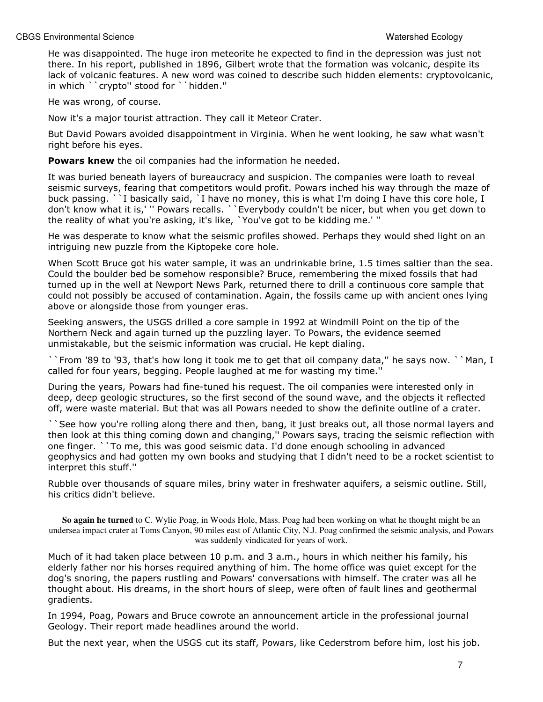He was disappointed. The huge iron meteorite he expected to find in the depression was just not there. In his report, published in 1896, Gilbert wrote that the formation was volcanic, despite its lack of volcanic features. A new word was coined to describe such hidden elements: cryptovolcanic, in which ``crypto'' stood for ``hidden.''

He was wrong, of course.

Now it's a major tourist attraction. They call it Meteor Crater.

But David Powars avoided disappointment in Virginia. When he went looking, he saw what wasn't right before his eyes.

Powars knew the oil companies had the information he needed.

It was buried beneath layers of bureaucracy and suspicion. The companies were loath to reveal seismic surveys, fearing that competitors would profit. Powars inched his way through the maze of buck passing. ``I basically said, `I have no money, this is what I'm doing I have this core hole, I don't know what it is,' '' Powars recalls. ``Everybody couldn't be nicer, but when you get down to the reality of what you're asking, it's like, `You've got to be kidding me.' ''

He was desperate to know what the seismic profiles showed. Perhaps they would shed light on an intriguing new puzzle from the Kiptopeke core hole.

When Scott Bruce got his water sample, it was an undrinkable brine, 1.5 times saltier than the sea. Could the boulder bed be somehow responsible? Bruce, remembering the mixed fossils that had turned up in the well at Newport News Park, returned there to drill a continuous core sample that could not possibly be accused of contamination. Again, the fossils came up with ancient ones lying above or alongside those from younger eras.

Seeking answers, the USGS drilled a core sample in 1992 at Windmill Point on the tip of the Northern Neck and again turned up the puzzling layer. To Powars, the evidence seemed unmistakable, but the seismic information was crucial. He kept dialing.

``From '89 to '93, that's how long it took me to get that oil company data,'' he says now. ``Man, I called for four years, begging. People laughed at me for wasting my time.''

During the years, Powars had fine-tuned his request. The oil companies were interested only in deep, deep geologic structures, so the first second of the sound wave, and the objects it reflected off, were waste material. But that was all Powars needed to show the definite outline of a crater.

``See how you're rolling along there and then, bang, it just breaks out, all those normal layers and then look at this thing coming down and changing,'' Powars says, tracing the seismic reflection with one finger. ``To me, this was good seismic data. I'd done enough schooling in advanced geophysics and had gotten my own books and studying that I didn't need to be a rocket scientist to interpret this stuff.''

Rubble over thousands of square miles, briny water in freshwater aquifers, a seismic outline. Still, his critics didn't believe.

**So again he turned** to C. Wylie Poag, in Woods Hole, Mass. Poag had been working on what he thought might be an undersea impact crater at Toms Canyon, 90 miles east of Atlantic City, N.J. Poag confirmed the seismic analysis, and Powars was suddenly vindicated for years of work.

Much of it had taken place between 10 p.m. and 3 a.m., hours in which neither his family, his elderly father nor his horses required anything of him. The home office was quiet except for the dog's snoring, the papers rustling and Powars' conversations with himself. The crater was all he thought about. His dreams, in the short hours of sleep, were often of fault lines and geothermal gradients.

In 1994, Poag, Powars and Bruce cowrote an announcement article in the professional journal Geology. Their report made headlines around the world.

But the next year, when the USGS cut its staff, Powars, like Cederstrom before him, lost his job.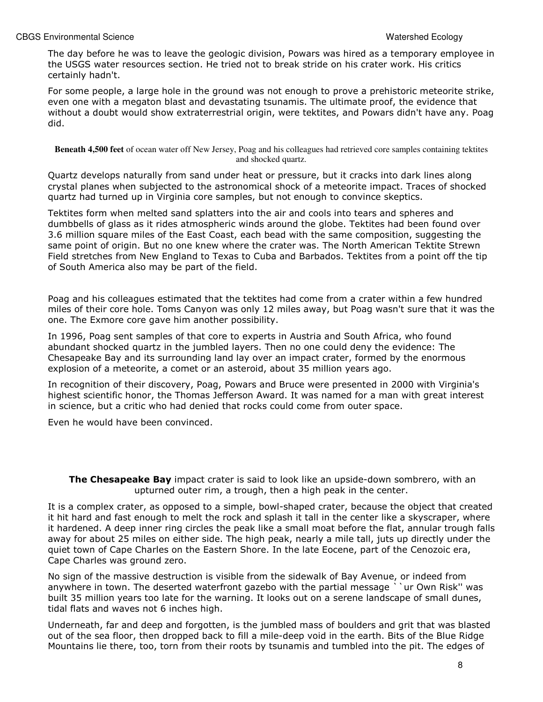The day before he was to leave the geologic division, Powars was hired as a temporary employee in the USGS water resources section. He tried not to break stride on his crater work. His critics certainly hadn't.

For some people, a large hole in the ground was not enough to prove a prehistoric meteorite strike, even one with a megaton blast and devastating tsunamis. The ultimate proof, the evidence that without a doubt would show extraterrestrial origin, were tektites, and Powars didn't have any. Poag did.

**Beneath 4,500 feet** of ocean water off New Jersey, Poag and his colleagues had retrieved core samples containing tektites and shocked quartz.

Quartz develops naturally from sand under heat or pressure, but it cracks into dark lines along crystal planes when subjected to the astronomical shock of a meteorite impact. Traces of shocked quartz had turned up in Virginia core samples, but not enough to convince skeptics.

Tektites form when melted sand splatters into the air and cools into tears and spheres and dumbbells of glass as it rides atmospheric winds around the globe. Tektites had been found over 3.6 million square miles of the East Coast, each bead with the same composition, suggesting the same point of origin. But no one knew where the crater was. The North American Tektite Strewn Field stretches from New England to Texas to Cuba and Barbados. Tektites from a point off the tip of South America also may be part of the field.

Poag and his colleagues estimated that the tektites had come from a crater within a few hundred miles of their core hole. Toms Canyon was only 12 miles away, but Poag wasn't sure that it was the one. The Exmore core gave him another possibility.

In 1996, Poag sent samples of that core to experts in Austria and South Africa, who found abundant shocked quartz in the jumbled layers. Then no one could deny the evidence: The Chesapeake Bay and its surrounding land lay over an impact crater, formed by the enormous explosion of a meteorite, a comet or an asteroid, about 35 million years ago.

In recognition of their discovery, Poag, Powars and Bruce were presented in 2000 with Virginia's highest scientific honor, the Thomas Jefferson Award. It was named for a man with great interest in science, but a critic who had denied that rocks could come from outer space.

Even he would have been convinced.

**The Chesapeake Bay** impact crater is said to look like an upside-down sombrero, with an upturned outer rim, a trough, then a high peak in the center.

It is a complex crater, as opposed to a simple, bowl-shaped crater, because the object that created it hit hard and fast enough to melt the rock and splash it tall in the center like a skyscraper, where it hardened. A deep inner ring circles the peak like a small moat before the flat, annular trough falls away for about 25 miles on either side. The high peak, nearly a mile tall, juts up directly under the quiet town of Cape Charles on the Eastern Shore. In the late Eocene, part of the Cenozoic era, Cape Charles was ground zero.

No sign of the massive destruction is visible from the sidewalk of Bay Avenue, or indeed from anywhere in town. The deserted waterfront gazebo with the partial message ``ur Own Risk" was built 35 million years too late for the warning. It looks out on a serene landscape of small dunes, tidal flats and waves not 6 inches high.

Underneath, far and deep and forgotten, is the jumbled mass of boulders and grit that was blasted out of the sea floor, then dropped back to fill a mile-deep void in the earth. Bits of the Blue Ridge Mountains lie there, too, torn from their roots by tsunamis and tumbled into the pit. The edges of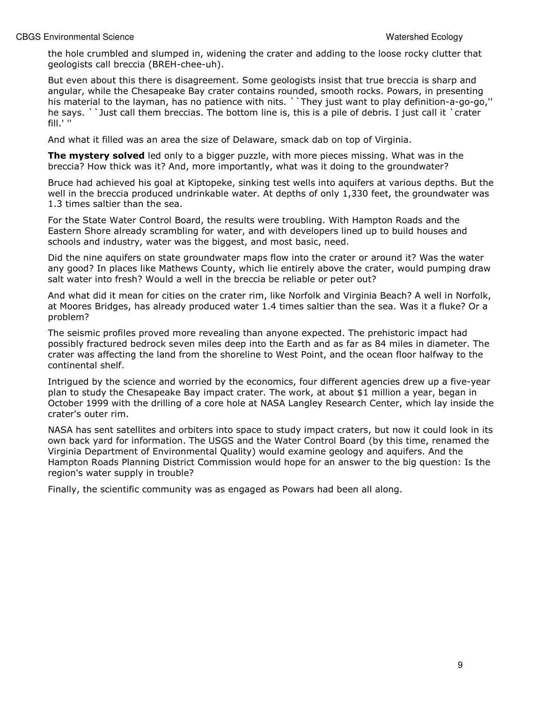the hole crumbled and slumped in, widening the crater and adding to the loose rocky clutter that geologists call breccia (BREH-chee-uh).

But even about this there is disagreement. Some geologists insist that true breccia is sharp and angular, while the Chesapeake Bay crater contains rounded, smooth rocks. Powars, in presenting his material to the layman, has no patience with nits. ``They just want to play definition-a-go-go,'' he says. ``Just call them breccias. The bottom line is, this is a pile of debris. I just call it `crater fill.' ''

And what it filled was an area the size of Delaware, smack dab on top of Virginia.

The mystery solved led only to a bigger puzzle, with more pieces missing. What was in the breccia? How thick was it? And, more importantly, what was it doing to the groundwater?

Bruce had achieved his goal at Kiptopeke, sinking test wells into aquifers at various depths. But the well in the breccia produced undrinkable water. At depths of only 1,330 feet, the groundwater was 1.3 times saltier than the sea.

For the State Water Control Board, the results were troubling. With Hampton Roads and the Eastern Shore already scrambling for water, and with developers lined up to build houses and schools and industry, water was the biggest, and most basic, need.

Did the nine aquifers on state groundwater maps flow into the crater or around it? Was the water any good? In places like Mathews County, which lie entirely above the crater, would pumping draw salt water into fresh? Would a well in the breccia be reliable or peter out?

And what did it mean for cities on the crater rim, like Norfolk and Virginia Beach? A well in Norfolk, at Moores Bridges, has already produced water 1.4 times saltier than the sea. Was it a fluke? Or a problem?

The seismic profiles proved more revealing than anyone expected. The prehistoric impact had possibly fractured bedrock seven miles deep into the Earth and as far as 84 miles in diameter. The crater was affecting the land from the shoreline to West Point, and the ocean floor halfway to the continental shelf.

Intrigued by the science and worried by the economics, four different agencies drew up a five-year plan to study the Chesapeake Bay impact crater. The work, at about \$1 million a year, began in October 1999 with the drilling of a core hole at NASA Langley Research Center, which lay inside the crater's outer rim.

NASA has sent satellites and orbiters into space to study impact craters, but now it could look in its own back yard for information. The USGS and the Water Control Board (by this time, renamed the Virginia Department of Environmental Quality) would examine geology and aquifers. And the Hampton Roads Planning District Commission would hope for an answer to the big question: Is the region's water supply in trouble?

Finally, the scientific community was as engaged as Powars had been all along.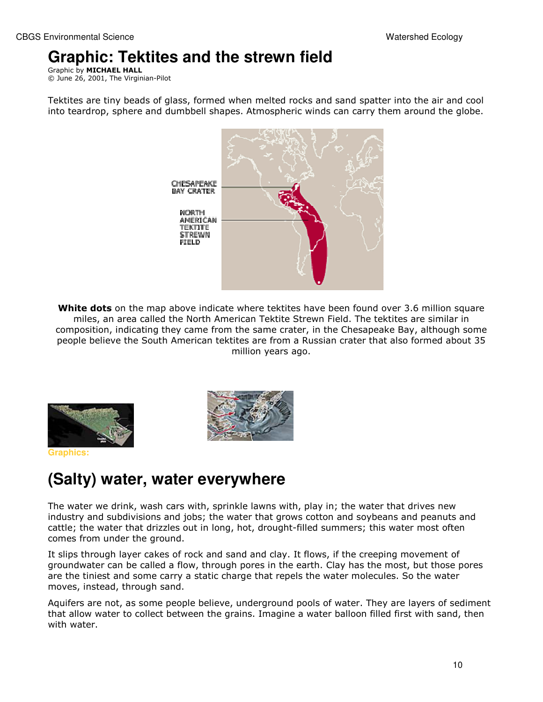## **Graphic: Tektites and the strewn field**

Graphic by MICHAEL HALL © June 26, 2001, The Virginian-Pilot

Tektites are tiny beads of glass, formed when melted rocks and sand spatter into the air and cool into teardrop, sphere and dumbbell shapes. Atmospheric winds can carry them around the globe.



White dots on the map above indicate where tektites have been found over 3.6 million square miles, an area called the North American Tektite Strewn Field. The tektites are similar in composition, indicating they came from the same crater, in the Chesapeake Bay, although some people believe the South American tektites are from a Russian crater that also formed about 35 million years ago.



**Graphics:** 



## **(Salty) water, water everywhere**

The water we drink, wash cars with, sprinkle lawns with, play in; the water that drives new industry and subdivisions and jobs; the water that grows cotton and soybeans and peanuts and cattle; the water that drizzles out in long, hot, drought-filled summers; this water most often comes from under the ground.

It slips through layer cakes of rock and sand and clay. It flows, if the creeping movement of groundwater can be called a flow, through pores in the earth. Clay has the most, but those pores are the tiniest and some carry a static charge that repels the water molecules. So the water moves, instead, through sand.

Aquifers are not, as some people believe, underground pools of water. They are layers of sediment that allow water to collect between the grains. Imagine a water balloon filled first with sand, then with water.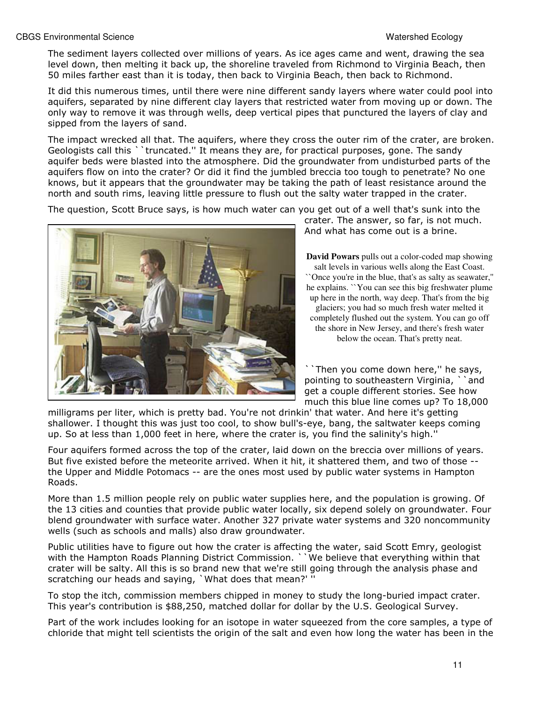The sediment layers collected over millions of years. As ice ages came and went, drawing the sea level down, then melting it back up, the shoreline traveled from Richmond to Virginia Beach, then 50 miles farther east than it is today, then back to Virginia Beach, then back to Richmond.

It did this numerous times, until there were nine different sandy layers where water could pool into aquifers, separated by nine different clay layers that restricted water from moving up or down. The only way to remove it was through wells, deep vertical pipes that punctured the layers of clay and sipped from the layers of sand.

The impact wrecked all that. The aquifers, where they cross the outer rim of the crater, are broken. Geologists call this ``truncated.'' It means they are, for practical purposes, gone. The sandy aquifer beds were blasted into the atmosphere. Did the groundwater from undisturbed parts of the aquifers flow on into the crater? Or did it find the jumbled breccia too tough to penetrate? No one knows, but it appears that the groundwater may be taking the path of least resistance around the north and south rims, leaving little pressure to flush out the salty water trapped in the crater.

The question, Scott Bruce says, is how much water can you get out of a well that's sunk into the



crater. The answer, so far, is not much. And what has come out is a brine.

**David Powars** pulls out a color-coded map showing salt levels in various wells along the East Coast. ``Once you're in the blue, that's as salty as seawater,'' he explains. ``You can see this big freshwater plume up here in the north, way deep. That's from the big glaciers; you had so much fresh water melted it completely flushed out the system. You can go off the shore in New Jersey, and there's fresh water below the ocean. That's pretty neat.

Then you come down here," he says, pointing to southeastern Virginia, ``and get a couple different stories. See how much this blue line comes up? To 18,000

milligrams per liter, which is pretty bad. You're not drinkin' that water. And here it's getting shallower. I thought this was just too cool, to show bull's-eye, bang, the saltwater keeps coming up. So at less than 1,000 feet in here, where the crater is, you find the salinity's high.''

Four aquifers formed across the top of the crater, laid down on the breccia over millions of years. But five existed before the meteorite arrived. When it hit, it shattered them, and two of those - the Upper and Middle Potomacs -- are the ones most used by public water systems in Hampton Roads.

More than 1.5 million people rely on public water supplies here, and the population is growing. Of the 13 cities and counties that provide public water locally, six depend solely on groundwater. Four blend groundwater with surface water. Another 327 private water systems and 320 noncommunity wells (such as schools and malls) also draw groundwater.

Public utilities have to figure out how the crater is affecting the water, said Scott Emry, geologist with the Hampton Roads Planning District Commission. ` `We believe that everything within that crater will be salty. All this is so brand new that we're still going through the analysis phase and scratching our heads and saying, `What does that mean?' ''

To stop the itch, commission members chipped in money to study the long-buried impact crater. This year's contribution is \$88,250, matched dollar for dollar by the U.S. Geological Survey.

Part of the work includes looking for an isotope in water squeezed from the core samples, a type of chloride that might tell scientists the origin of the salt and even how long the water has been in the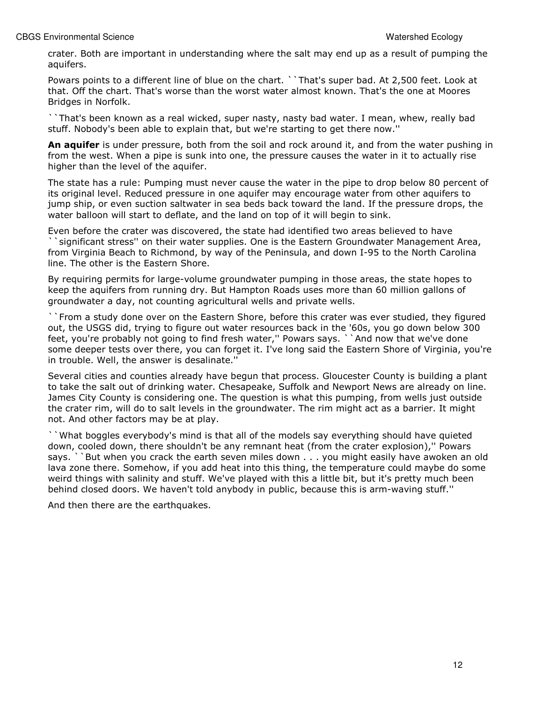crater. Both are important in understanding where the salt may end up as a result of pumping the aquifers.

Powars points to a different line of blue on the chart. ``That's super bad. At 2,500 feet. Look at that. Off the chart. That's worse than the worst water almost known. That's the one at Moores Bridges in Norfolk.

``That's been known as a real wicked, super nasty, nasty bad water. I mean, whew, really bad stuff. Nobody's been able to explain that, but we're starting to get there now.''

An aquifer is under pressure, both from the soil and rock around it, and from the water pushing in from the west. When a pipe is sunk into one, the pressure causes the water in it to actually rise higher than the level of the aquifer.

The state has a rule: Pumping must never cause the water in the pipe to drop below 80 percent of its original level. Reduced pressure in one aquifer may encourage water from other aquifers to jump ship, or even suction saltwater in sea beds back toward the land. If the pressure drops, the water balloon will start to deflate, and the land on top of it will begin to sink.

Even before the crater was discovered, the state had identified two areas believed to have ``significant stress'' on their water supplies. One is the Eastern Groundwater Management Area, from Virginia Beach to Richmond, by way of the Peninsula, and down I-95 to the North Carolina line. The other is the Eastern Shore.

By requiring permits for large-volume groundwater pumping in those areas, the state hopes to keep the aquifers from running dry. But Hampton Roads uses more than 60 million gallons of groundwater a day, not counting agricultural wells and private wells.

``From a study done over on the Eastern Shore, before this crater was ever studied, they figured out, the USGS did, trying to figure out water resources back in the '60s, you go down below 300 feet, you're probably not going to find fresh water," Powars says. ``And now that we've done some deeper tests over there, you can forget it. I've long said the Eastern Shore of Virginia, you're in trouble. Well, the answer is desalinate.''

Several cities and counties already have begun that process. Gloucester County is building a plant to take the salt out of drinking water. Chesapeake, Suffolk and Newport News are already on line. James City County is considering one. The question is what this pumping, from wells just outside the crater rim, will do to salt levels in the groundwater. The rim might act as a barrier. It might not. And other factors may be at play.

``What boggles everybody's mind is that all of the models say everything should have quieted down, cooled down, there shouldn't be any remnant heat (from the crater explosion),'' Powars says. ``But when you crack the earth seven miles down . . . you might easily have awoken an old lava zone there. Somehow, if you add heat into this thing, the temperature could maybe do some weird things with salinity and stuff. We've played with this a little bit, but it's pretty much been behind closed doors. We haven't told anybody in public, because this is arm-waving stuff.''

And then there are the earthquakes.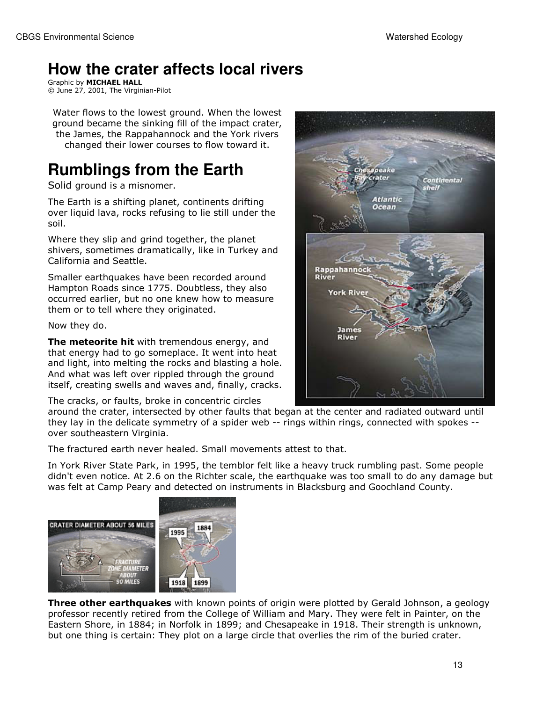# **How the crater affects local rivers**

Graphic by MICHAEL HALL © June 27, 2001, The Virginian-Pilot

Water flows to the lowest ground. When the lowest ground became the sinking fill of the impact crater, the James, the Rappahannock and the York rivers changed their lower courses to flow toward it.

# **Rumblings from the Earth**

Solid ground is a misnomer.

The Earth is a shifting planet, continents drifting over liquid lava, rocks refusing to lie still under the soil.

Where they slip and grind together, the planet shivers, sometimes dramatically, like in Turkey and California and Seattle.

Smaller earthquakes have been recorded around Hampton Roads since 1775. Doubtless, they also occurred earlier, but no one knew how to measure them or to tell where they originated.

Now they do.

The meteorite hit with tremendous energy, and that energy had to go someplace. It went into heat and light, into melting the rocks and blasting a hole. And what was left over rippled through the ground itself, creating swells and waves and, finally, cracks.

The cracks, or faults, broke in concentric circles



around the crater, intersected by other faults that began at the center and radiated outward until they lay in the delicate symmetry of a spider web -- rings within rings, connected with spokes - over southeastern Virginia.

The fractured earth never healed. Small movements attest to that.

In York River State Park, in 1995, the temblor felt like a heavy truck rumbling past. Some people didn't even notice. At 2.6 on the Richter scale, the earthquake was too small to do any damage but was felt at Camp Peary and detected on instruments in Blacksburg and Goochland County.



**Three other earthquakes** with known points of origin were plotted by Gerald Johnson, a geology professor recently retired from the College of William and Mary. They were felt in Painter, on the Eastern Shore, in 1884; in Norfolk in 1899; and Chesapeake in 1918. Their strength is unknown, but one thing is certain: They plot on a large circle that overlies the rim of the buried crater.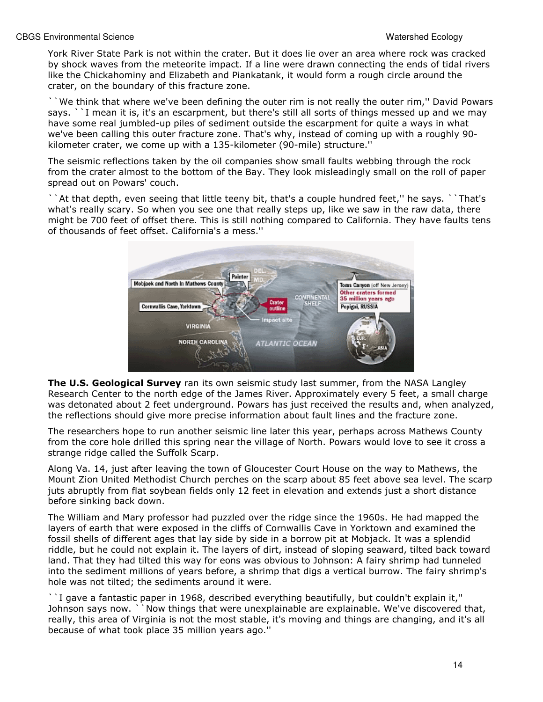York River State Park is not within the crater. But it does lie over an area where rock was cracked by shock waves from the meteorite impact. If a line were drawn connecting the ends of tidal rivers like the Chickahominy and Elizabeth and Piankatank, it would form a rough circle around the crater, on the boundary of this fracture zone.

``We think that where we've been defining the outer rim is not really the outer rim,'' David Powars says. ``I mean it is, it's an escarpment, but there's still all sorts of things messed up and we may have some real jumbled-up piles of sediment outside the escarpment for quite a ways in what we've been calling this outer fracture zone. That's why, instead of coming up with a roughly 90 kilometer crater, we come up with a 135-kilometer (90-mile) structure.''

The seismic reflections taken by the oil companies show small faults webbing through the rock from the crater almost to the bottom of the Bay. They look misleadingly small on the roll of paper spread out on Powars' couch.

``At that depth, even seeing that little teeny bit, that's a couple hundred feet,'' he says. ``That's what's really scary. So when you see one that really steps up, like we saw in the raw data, there might be 700 feet of offset there. This is still nothing compared to California. They have faults tens of thousands of feet offset. California's a mess.''



The U.S. Geological Survey ran its own seismic study last summer, from the NASA Langley Research Center to the north edge of the James River. Approximately every 5 feet, a small charge was detonated about 2 feet underground. Powars has just received the results and, when analyzed, the reflections should give more precise information about fault lines and the fracture zone.

The researchers hope to run another seismic line later this year, perhaps across Mathews County from the core hole drilled this spring near the village of North. Powars would love to see it cross a strange ridge called the Suffolk Scarp.

Along Va. 14, just after leaving the town of Gloucester Court House on the way to Mathews, the Mount Zion United Methodist Church perches on the scarp about 85 feet above sea level. The scarp juts abruptly from flat soybean fields only 12 feet in elevation and extends just a short distance before sinking back down.

The William and Mary professor had puzzled over the ridge since the 1960s. He had mapped the layers of earth that were exposed in the cliffs of Cornwallis Cave in Yorktown and examined the fossil shells of different ages that lay side by side in a borrow pit at Mobjack. It was a splendid riddle, but he could not explain it. The layers of dirt, instead of sloping seaward, tilted back toward land. That they had tilted this way for eons was obvious to Johnson: A fairy shrimp had tunneled into the sediment millions of years before, a shrimp that digs a vertical burrow. The fairy shrimp's hole was not tilted; the sediments around it were.

``I gave a fantastic paper in 1968, described everything beautifully, but couldn't explain it,'' Johnson says now. ``Now things that were unexplainable are explainable. We've discovered that, really, this area of Virginia is not the most stable, it's moving and things are changing, and it's all because of what took place 35 million years ago.''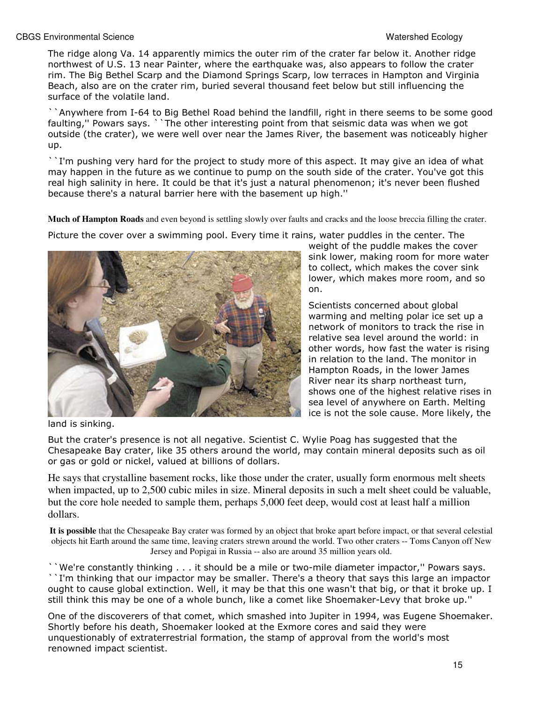The ridge along Va. 14 apparently mimics the outer rim of the crater far below it. Another ridge northwest of U.S. 13 near Painter, where the earthquake was, also appears to follow the crater rim. The Big Bethel Scarp and the Diamond Springs Scarp, low terraces in Hampton and Virginia Beach, also are on the crater rim, buried several thousand feet below but still influencing the surface of the volatile land.

``Anywhere from I-64 to Big Bethel Road behind the landfill, right in there seems to be some good faulting,'' Powars says. ``The other interesting point from that seismic data was when we got outside (the crater), we were well over near the James River, the basement was noticeably higher up.

``I'm pushing very hard for the project to study more of this aspect. It may give an idea of what may happen in the future as we continue to pump on the south side of the crater. You've got this real high salinity in here. It could be that it's just a natural phenomenon; it's never been flushed because there's a natural barrier here with the basement up high.''

**Much of Hampton Roads** and even beyond is settling slowly over faults and cracks and the loose breccia filling the crater.

Picture the cover over a swimming pool. Every time it rains, water puddles in the center. The



weight of the puddle makes the cover sink lower, making room for more water to collect, which makes the cover sink lower, which makes more room, and so on.

Scientists concerned about global warming and melting polar ice set up a network of monitors to track the rise in relative sea level around the world: in other words, how fast the water is rising in relation to the land. The monitor in Hampton Roads, in the lower James River near its sharp northeast turn, shows one of the highest relative rises in sea level of anywhere on Earth. Melting ice is not the sole cause. More likely, the

land is sinking.

But the crater's presence is not all negative. Scientist C. Wylie Poag has suggested that the Chesapeake Bay crater, like 35 others around the world, may contain mineral deposits such as oil or gas or gold or nickel, valued at billions of dollars.

He says that crystalline basement rocks, like those under the crater, usually form enormous melt sheets when impacted, up to 2,500 cubic miles in size. Mineral deposits in such a melt sheet could be valuable, but the core hole needed to sample them, perhaps 5,000 feet deep, would cost at least half a million dollars.

**It is possible** that the Chesapeake Bay crater was formed by an object that broke apart before impact, or that several celestial objects hit Earth around the same time, leaving craters strewn around the world. Two other craters -- Toms Canyon off New Jersey and Popigai in Russia -- also are around 35 million years old.

``We're constantly thinking . . . it should be a mile or two-mile diameter impactor,'' Powars says. ``I'm thinking that our impactor may be smaller. There's a theory that says this large an impactor ought to cause global extinction. Well, it may be that this one wasn't that big, or that it broke up. I still think this may be one of a whole bunch, like a comet like Shoemaker-Levy that broke up.''

One of the discoverers of that comet, which smashed into Jupiter in 1994, was Eugene Shoemaker. Shortly before his death, Shoemaker looked at the Exmore cores and said they were unquestionably of extraterrestrial formation, the stamp of approval from the world's most renowned impact scientist.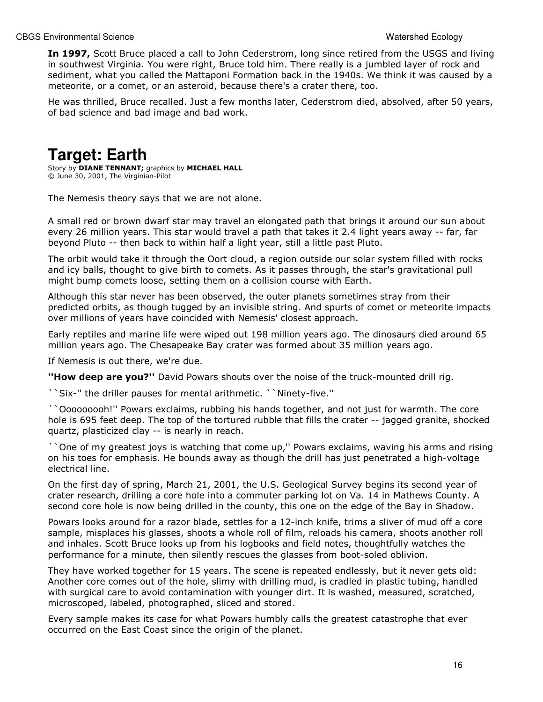In 1997, Scott Bruce placed a call to John Cederstrom, long since retired from the USGS and living in southwest Virginia. You were right, Bruce told him. There really is a jumbled layer of rock and sediment, what you called the Mattaponi Formation back in the 1940s. We think it was caused by a meteorite, or a comet, or an asteroid, because there's a crater there, too.

He was thrilled, Bruce recalled. Just a few months later, Cederstrom died, absolved, after 50 years, of bad science and bad image and bad work.

## **Target: Earth**

Story by **DIANE TENNANT**; graphics by **MICHAEL HALL** © June 30, 2001, The Virginian-Pilot

The Nemesis theory says that we are not alone.

A small red or brown dwarf star may travel an elongated path that brings it around our sun about every 26 million years. This star would travel a path that takes it 2.4 light years away -- far, far beyond Pluto -- then back to within half a light year, still a little past Pluto.

The orbit would take it through the Oort cloud, a region outside our solar system filled with rocks and icy balls, thought to give birth to comets. As it passes through, the star's gravitational pull might bump comets loose, setting them on a collision course with Earth.

Although this star never has been observed, the outer planets sometimes stray from their predicted orbits, as though tugged by an invisible string. And spurts of comet or meteorite impacts over millions of years have coincided with Nemesis' closest approach.

Early reptiles and marine life were wiped out 198 million years ago. The dinosaurs died around 65 million years ago. The Chesapeake Bay crater was formed about 35 million years ago.

If Nemesis is out there, we're due.

"How deep are you?" David Powars shouts over the noise of the truck-mounted drill rig.

``Six-'' the driller pauses for mental arithmetic. ``Ninety-five.''

``Ooooooooh!'' Powars exclaims, rubbing his hands together, and not just for warmth. The core hole is 695 feet deep. The top of the tortured rubble that fills the crater -- jagged granite, shocked quartz, plasticized clay -- is nearly in reach.

``One of my greatest joys is watching that come up,'' Powars exclaims, waving his arms and rising on his toes for emphasis. He bounds away as though the drill has just penetrated a high-voltage electrical line.

On the first day of spring, March 21, 2001, the U.S. Geological Survey begins its second year of crater research, drilling a core hole into a commuter parking lot on Va. 14 in Mathews County. A second core hole is now being drilled in the county, this one on the edge of the Bay in Shadow.

Powars looks around for a razor blade, settles for a 12-inch knife, trims a sliver of mud off a core sample, misplaces his glasses, shoots a whole roll of film, reloads his camera, shoots another roll and inhales. Scott Bruce looks up from his logbooks and field notes, thoughtfully watches the performance for a minute, then silently rescues the glasses from boot-soled oblivion.

They have worked together for 15 years. The scene is repeated endlessly, but it never gets old: Another core comes out of the hole, slimy with drilling mud, is cradled in plastic tubing, handled with surgical care to avoid contamination with younger dirt. It is washed, measured, scratched, microscoped, labeled, photographed, sliced and stored.

Every sample makes its case for what Powars humbly calls the greatest catastrophe that ever occurred on the East Coast since the origin of the planet.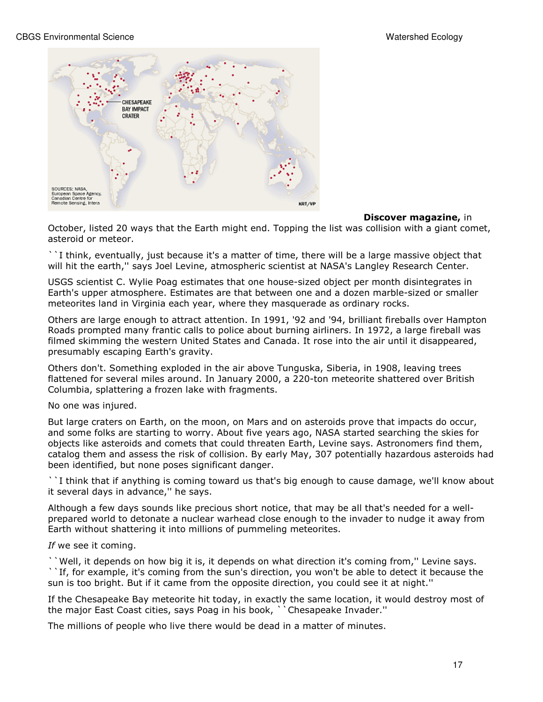

### **Discover magazine, in**

October, listed 20 ways that the Earth might end. Topping the list was collision with a giant comet, asteroid or meteor.

``I think, eventually, just because it's a matter of time, there will be a large massive object that will hit the earth," says Joel Levine, atmospheric scientist at NASA's Langley Research Center.

USGS scientist C. Wylie Poag estimates that one house-sized object per month disintegrates in Earth's upper atmosphere. Estimates are that between one and a dozen marble-sized or smaller meteorites land in Virginia each year, where they masquerade as ordinary rocks.

Others are large enough to attract attention. In 1991, '92 and '94, brilliant fireballs over Hampton Roads prompted many frantic calls to police about burning airliners. In 1972, a large fireball was filmed skimming the western United States and Canada. It rose into the air until it disappeared, presumably escaping Earth's gravity.

Others don't. Something exploded in the air above Tunguska, Siberia, in 1908, leaving trees flattened for several miles around. In January 2000, a 220-ton meteorite shattered over British Columbia, splattering a frozen lake with fragments.

No one was injured.

But large craters on Earth, on the moon, on Mars and on asteroids prove that impacts do occur, and some folks are starting to worry. About five years ago, NASA started searching the skies for objects like asteroids and comets that could threaten Earth, Levine says. Astronomers find them, catalog them and assess the risk of collision. By early May, 307 potentially hazardous asteroids had been identified, but none poses significant danger.

``I think that if anything is coming toward us that's big enough to cause damage, we'll know about it several days in advance,'' he says.

Although a few days sounds like precious short notice, that may be all that's needed for a wellprepared world to detonate a nuclear warhead close enough to the invader to nudge it away from Earth without shattering it into millions of pummeling meteorites.

### If we see it coming.

``Well, it depends on how big it is, it depends on what direction it's coming from,'' Levine says.

``If, for example, it's coming from the sun's direction, you won't be able to detect it because the sun is too bright. But if it came from the opposite direction, you could see it at night.''

If the Chesapeake Bay meteorite hit today, in exactly the same location, it would destroy most of the major East Coast cities, says Poag in his book, ``Chesapeake Invader.''

The millions of people who live there would be dead in a matter of minutes.